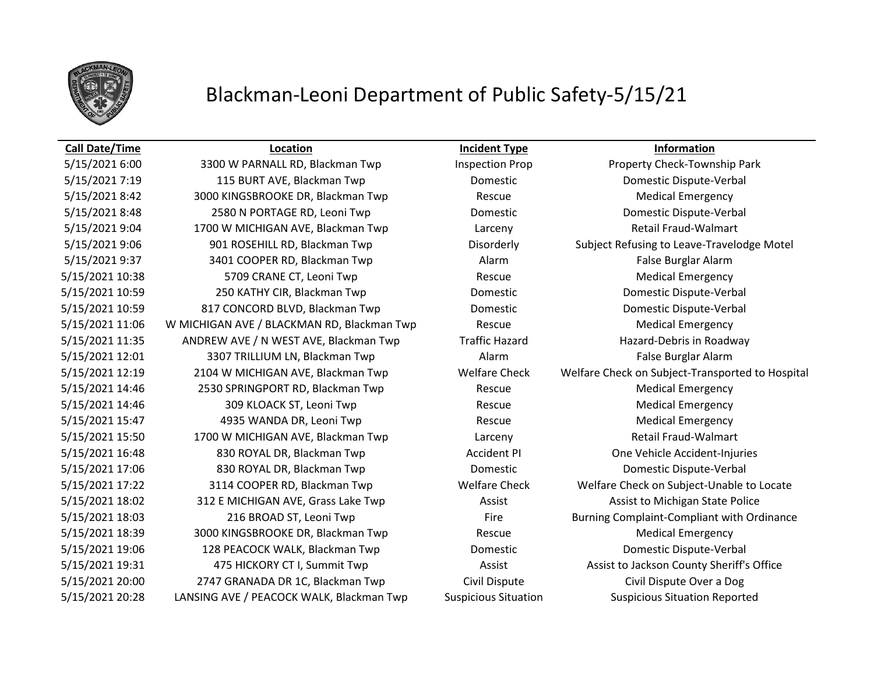

# Blackman-Leoni Department of Public Safety-5/15/21

### **Call Date/Time Location Incident Type Information**

5/15/2021 6:00 3300 W PARNALL RD, Blackman Twp Inspection Prop Property Check-Township Park 5/15/2021 7:19 115 BURT AVE, Blackman Twp Domestic Domestic Dispute-Verbal 5/15/2021 8:42 3000 KINGSBROOKE DR, Blackman Twp Rescue Rescue Medical Emergency 5/15/2021 8:48 2580 N PORTAGE RD, Leoni Twp Domestic Domestic Domestic Dispute-Verbal 5/15/2021 9:04 1700 W MICHIGAN AVE, Blackman Twp Larceny Retail Fraud-Walmart 5/15/2021 9:06 901 ROSEHILL RD, Blackman Twp Disorderly Subject Refusing to Leave-Travelodge Motel 5/15/2021 9:37 3401 COOPER RD, Blackman Twp **Alarm Alarm False Burglar Alarm** False Burglar Alarm 5/15/2021 10:38 5709 CRANE CT, Leoni Twp Rescue Rescue Medical Emergency 5/15/2021 10:59 250 KATHY CIR, Blackman Twp Domestic Domestic Dispute-Verbal 5/15/2021 10:59 817 CONCORD BLVD, Blackman Twp Domestic Domestic Dispute-Verbal 5/15/2021 11:06 W MICHIGAN AVE / BLACKMAN RD, Blackman Twp Rescue Rescue Medical Emergency 5/15/2021 11:35 ANDREW AVE / N WEST AVE, Blackman Twp Traffic Hazard Hazard Hazard-Debris in Roadway 5/15/2021 12:01 3307 TRILLIUM LN, Blackman Twp **Alarm** Alarm **False Burglar Alarm** 5/15/2021 12:19 2104 W MICHIGAN AVE, Blackman Twp Welfare Check Welfare Check on Subject-Transported to Hospital 5/15/2021 14:46 2530 SPRINGPORT RD, Blackman Twp Rescue Rescue Medical Emergency 5/15/2021 14:46 309 KLOACK ST, Leoni Twp Rescue Rescue Medical Emergency 5/15/2021 15:47 4935 WANDA DR, Leoni Twp Rescue Medical Emergency 5/15/2021 15:50 1700 W MICHIGAN AVE, Blackman Twp Larceny Retail Fraud-Walmart 5/15/2021 16:48 830 ROYAL DR, Blackman Twp Accident PI One Vehicle Accident-Injuries 5/15/2021 17:06 830 ROYAL DR, Blackman Twp Domestic Domestic Dispute-Verbal 5/15/2021 17:22 3114 COOPER RD, Blackman Twp Welfare Check Welfare Check on Subject-Unable to Locate 5/15/2021 18:02 312 E MICHIGAN AVE, Grass Lake Twp **Assist Assist Assist Lacke Assist Communicate Assist Assist Communicate Police** 5/15/2021 18:03 216 BROAD ST, Leoni Twp Fire Burning Complaint-Compliant with Ordinance 5/15/2021 18:39 3000 KINGSBROOKE DR, Blackman Twp Rescue Rescue Medical Emergency 5/15/2021 19:06 128 PEACOCK WALK, Blackman Twp Domestic Domestic Dispute-Verbal 5/15/2021 19:31 475 HICKORY CT I, Summit Twp Assist Assist Assist Assist to Jackson County Sheriff's Office 5/15/2021 20:00 2747 GRANADA DR 1C, Blackman Twp Civil Dispute Civil Dispute Over a Dog 5/15/2021 20:28 LANSING AVE / PEACOCK WALK, Blackman Twp Suspicious Situation Suspicious Situation Reported